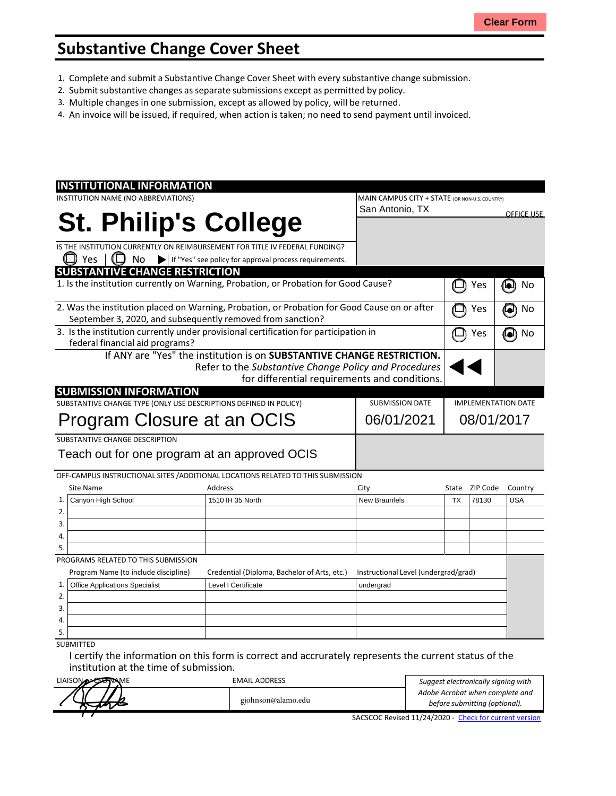## **Substantive Change Cover Sheet**

- 1. Complete and submit a Substantive Change Cover Sheet with every substantive change submission.
- 2. Submit substantive changes asseparate submissions except as permitted by policy.
- 3. Multiple changes in one submission, except as allowed by policy, will be returned.
- 4. An invoice will be issued, if required, when action is taken; no need to send payment until invoiced.

| <b>INSTITUTIONAL INFORMATION</b>                                                             |                                                                        |                                      |                                                |          |                   |  |
|----------------------------------------------------------------------------------------------|------------------------------------------------------------------------|--------------------------------------|------------------------------------------------|----------|-------------------|--|
| INSTITUTION NAME (NO ABBREVIATIONS)                                                          |                                                                        |                                      | MAIN CAMPUS CITY + STATE (OR NON-U.S. COUNTRY) |          |                   |  |
|                                                                                              |                                                                        | San Antonio, TX                      |                                                |          | <b>OFFICE USE</b> |  |
| <b>St. Philip's College</b>                                                                  |                                                                        |                                      |                                                |          |                   |  |
|                                                                                              |                                                                        |                                      |                                                |          |                   |  |
| IS THE INSTITUTION CURRENTLY ON REIMBURSEMENT FOR TITLE IV FEDERAL FUNDING?                  |                                                                        |                                      |                                                |          |                   |  |
| Yes<br>No<br>$\blacktriangleright$                                                           | If "Yes" see policy for approval process requirements.                 |                                      |                                                |          |                   |  |
| <b>SUBSTANTIVE CHANGE RESTRICTION</b>                                                        |                                                                        |                                      |                                                |          |                   |  |
| 1. Is the institution currently on Warning, Probation, or Probation for Good Cause?          |                                                                        |                                      |                                                | Yes      | No<br>'o          |  |
| 2. Was the institution placed on Warning, Probation, or Probation for Good Cause on or after |                                                                        |                                      |                                                | Yes      | No<br>$\bullet$   |  |
| September 3, 2020, and subsequently removed from sanction?                                   |                                                                        |                                      |                                                |          |                   |  |
| 3. Is the institution currently under provisional certification for participation in         |                                                                        |                                      |                                                | Yes      | No                |  |
| federal financial aid programs?                                                              |                                                                        |                                      |                                                |          |                   |  |
|                                                                                              | If ANY are "Yes" the institution is on SUBSTANTIVE CHANGE RESTRICTION. |                                      |                                                |          |                   |  |
|                                                                                              | Refer to the Substantive Change Policy and Procedures                  |                                      |                                                |          |                   |  |
|                                                                                              | for differential requirements and conditions.                          |                                      |                                                |          |                   |  |
| <b>SUBMISSION INFORMATION</b>                                                                |                                                                        |                                      |                                                |          |                   |  |
| SUBSTANTIVE CHANGE TYPE (ONLY USE DESCRIPTIONS DEFINED IN POLICY)                            | <b>SUBMISSION DATE</b>                                                 |                                      | <b>IMPLEMENTATION DATE</b>                     |          |                   |  |
| Program Closure at an OCIS                                                                   | 06/01/2021                                                             |                                      | 08/01/2017                                     |          |                   |  |
|                                                                                              |                                                                        |                                      |                                                |          |                   |  |
| SUBSTANTIVE CHANGE DESCRIPTION                                                               |                                                                        |                                      |                                                |          |                   |  |
| Teach out for one program at an approved OCIS                                                |                                                                        |                                      |                                                |          |                   |  |
| OFF-CAMPUS INSTRUCTIONAL SITES / ADDITIONAL LOCATIONS RELATED TO THIS SUBMISSION             |                                                                        |                                      |                                                |          |                   |  |
| Site Name                                                                                    | Address                                                                | City                                 | State                                          | ZIP Code | Country           |  |
| Canyon High School<br>1.                                                                     | 1510 IH 35 North                                                       | <b>New Braunfels</b>                 | <b>TX</b>                                      | 78130    | <b>USA</b>        |  |
| 2.                                                                                           |                                                                        |                                      |                                                |          |                   |  |
| 3.                                                                                           |                                                                        |                                      |                                                |          |                   |  |
| 4.                                                                                           |                                                                        |                                      |                                                |          |                   |  |
| 5.                                                                                           |                                                                        |                                      |                                                |          |                   |  |
| PROGRAMS RELATED TO THIS SUBMISSION                                                          |                                                                        |                                      |                                                |          |                   |  |
| Program Name (to include discipline)                                                         | Credential (Diploma, Bachelor of Arts, etc.)                           | Instructional Level (undergrad/grad) |                                                |          |                   |  |
| 1.<br><b>Office Applications Specialist</b><br>Level I Certificate                           |                                                                        |                                      | undergrad                                      |          |                   |  |
| 2.                                                                                           |                                                                        |                                      |                                                |          |                   |  |
| 3.                                                                                           |                                                                        |                                      |                                                |          |                   |  |
| 4.                                                                                           |                                                                        |                                      |                                                |          |                   |  |
|                                                                                              |                                                                        |                                      |                                                |          |                   |  |
| 5.                                                                                           |                                                                        |                                      |                                                |          |                   |  |

I certify the information on this form is correct and accrurately represents the current status of the institution at the time of submission.

| LIAISON DECEMBRAME | <b>EMAIL ADDRESS</b> | Suggest electronically signing with                    |
|--------------------|----------------------|--------------------------------------------------------|
|                    |                      | Adobe Acrobat when complete and                        |
|                    | gjohnson@alamo.edu   | before submitting (optional).                          |
|                    |                      | SACSCOC Revised 11/24/2020 - Check for current version |

SACSCOC Revised 11/24/2020 - Check [for current](http://sacscoc.org/app/uploads/2020/01/Substantive_Change_Cover_-Sheet.pdf) version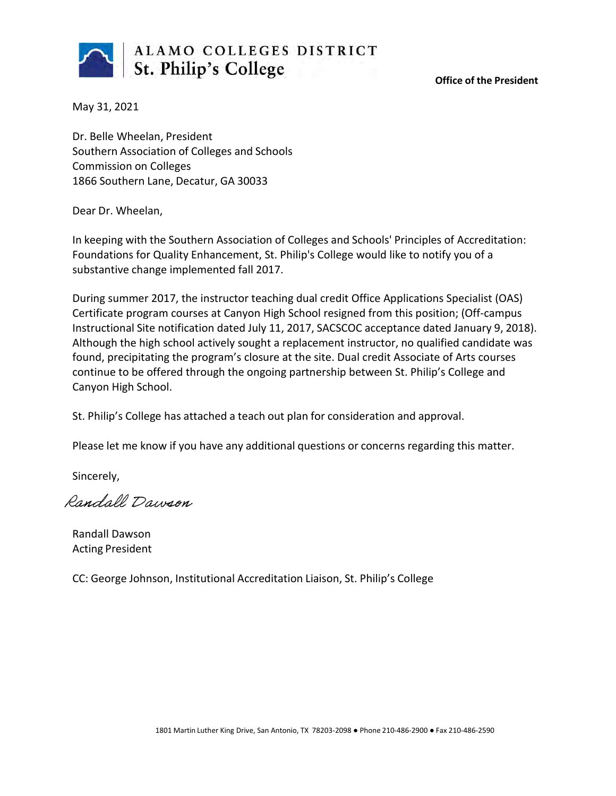

**Office of the President**

May 31, 2021

Dr. Belle Wheelan, President Southern Association of Colleges and Schools Commission on Colleges 1866 Southern Lane, Decatur, GA 30033

Dear Dr. Wheelan,

In keeping with the Southern Association of Colleges and Schools' Principles of Accreditation: Foundations for Quality Enhancement, St. Philip's College would like to notify you of a substantive change implemented fall 2017.

During summer 2017, the instructor teaching dual credit Office Applications Specialist (OAS) Certificate program courses at Canyon High School resigned from this position; (Off-campus Instructional Site notification dated July 11, 2017, SACSCOC acceptance dated January 9, 2018). Although the high school actively sought a replacement instructor, no qualified candidate was found, precipitating the program's closure at the site. Dual credit Associate of Arts courses continue to be offered through the ongoing partnership between St. Philip's College and Canyon High School.

St. Philip's College has attached a teach out plan for consideration and approval.

Please let me know if you have any additional questions or concerns regarding this matter.

Sincerely,

Randall Dawson

Randall Dawson Acting President

CC: George Johnson, Institutional Accreditation Liaison, St. Philip's College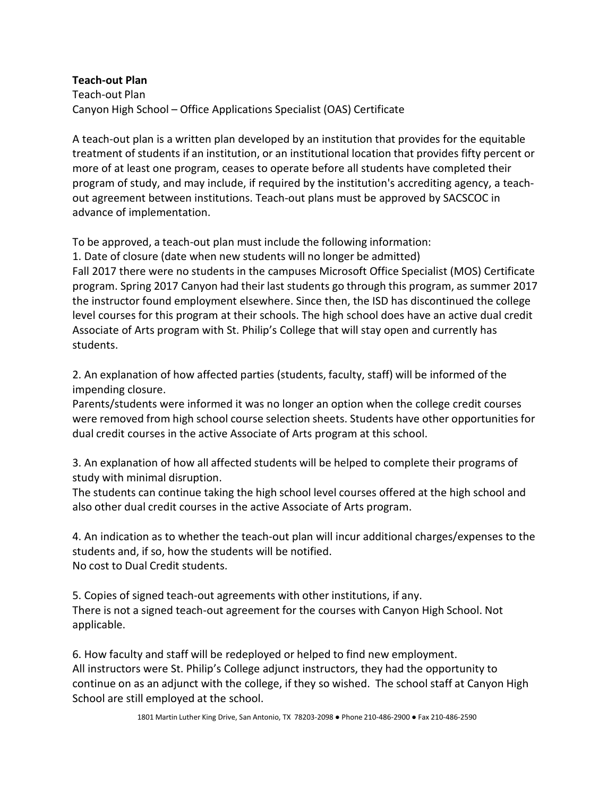## **Teach-out Plan**

Teach-out Plan Canyon High School – Office Applications Specialist (OAS) Certificate

A teach-out plan is a written plan developed by an institution that provides for the equitable treatment of students if an institution, or an institutional location that provides fifty percent or more of at least one program, ceases to operate before all students have completed their program of study, and may include, if required by the institution's accrediting agency, a teachout agreement between institutions. Teach-out plans must be approved by SACSCOC in advance of implementation.

To be approved, a teach-out plan must include the following information:

1. Date of closure (date when new students will no longer be admitted) Fall 2017 there were no students in the campuses Microsoft Office Specialist (MOS) Certificate program. Spring 2017 Canyon had their last students go through this program, as summer 2017 the instructor found employment elsewhere. Since then, the ISD has discontinued the college level courses for this program at their schools. The high school does have an active dual credit Associate of Arts program with St. Philip's College that will stay open and currently has students.

2. An explanation of how affected parties (students, faculty, staff) will be informed of the impending closure.

Parents/students were informed it was no longer an option when the college credit courses were removed from high school course selection sheets. Students have other opportunities for dual credit courses in the active Associate of Arts program at this school.

3. An explanation of how all affected students will be helped to complete their programs of study with minimal disruption.

The students can continue taking the high school level courses offered at the high school and also other dual credit courses in the active Associate of Arts program.

4. An indication as to whether the teach-out plan will incur additional charges/expenses to the students and, if so, how the students will be notified. No cost to Dual Credit students.

5. Copies of signed teach-out agreements with other institutions, if any. There is not a signed teach-out agreement for the courses with Canyon High School. Not applicable.

6. How faculty and staff will be redeployed or helped to find new employment. All instructors were St. Philip's College adjunct instructors, they had the opportunity to continue on as an adjunct with the college, if they so wished. The school staff at Canyon High School are still employed at the school.